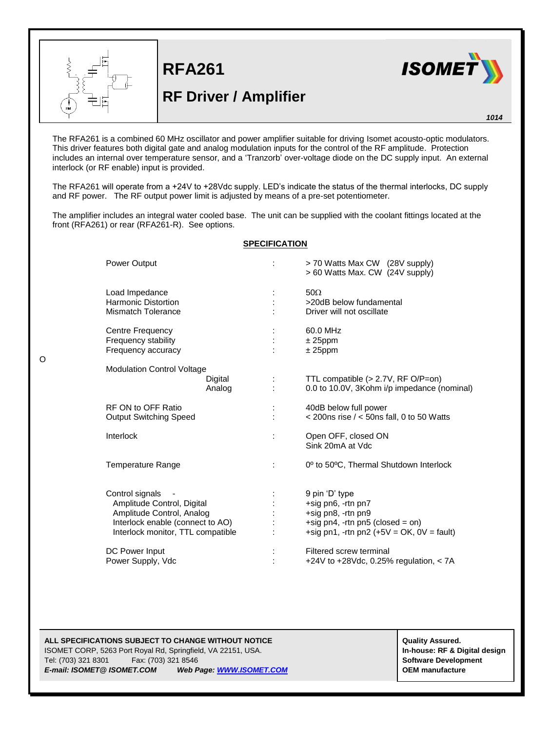

O

**RFA261**

## **RF Driver / Amplifier**



*1014*

The RFA261 is a combined 60 MHz oscillator and power amplifier suitable for driving Isomet acousto-optic modulators. This driver features both digital gate and analog modulation inputs for the control of the RF amplitude. Protection includes an internal over temperature sensor, and a 'Tranzorb' over-voltage diode on the DC supply input. An external interlock (or RF enable) input is provided.

The RFA261 will operate from a +24V to +28Vdc supply. LED's indicate the status of the thermal interlocks, DC supply and RF power. The RF output power limit is adjusted by means of a pre-set potentiometer.

The amplifier includes an integral water cooled base. The unit can be supplied with the coolant fittings located at the front (RFA261) or rear (RFA261-R). See options.

## **SPECIFICATION**

| <b>Power Output</b>                                                                                                                                 |                   |   | > 70 Watts Max CW (28V supply)<br>> 60 Watts Max. CW (24V supply)                                                                             |
|-----------------------------------------------------------------------------------------------------------------------------------------------------|-------------------|---|-----------------------------------------------------------------------------------------------------------------------------------------------|
| Load Impedance<br><b>Harmonic Distortion</b><br><b>Mismatch Tolerance</b>                                                                           |                   | ÷ | $50\Omega$<br>>20dB below fundamental<br>Driver will not oscillate                                                                            |
| Centre Frequency<br>Frequency stability<br>Frequency accuracy                                                                                       |                   |   | 60.0 MHz<br>$± 25$ ppm<br>$± 25$ ppm                                                                                                          |
| <b>Modulation Control Voltage</b>                                                                                                                   | Digital<br>Analog |   | TTL compatible $(>2.7V, RF O/P=0n)$<br>0.0 to 10.0V, 3Kohm i/p impedance (nominal)                                                            |
| RF ON to OFF Ratio<br><b>Output Switching Speed</b>                                                                                                 |                   | ÷ | 40dB below full power<br>$<$ 200ns rise $/$ < 50ns fall, 0 to 50 Watts                                                                        |
| Interlock                                                                                                                                           |                   | ÷ | Open OFF, closed ON<br>Sink 20mA at Vdc                                                                                                       |
| Temperature Range                                                                                                                                   |                   | ÷ | 0° to 50°C, Thermal Shutdown Interlock                                                                                                        |
| Control signals<br>Amplitude Control, Digital<br>Amplitude Control, Analog<br>Interlock enable (connect to AO)<br>Interlock monitor, TTL compatible |                   |   | 9 pin 'D' type<br>+sig pn6, -rtn pn7<br>+sig pn8, -rtn pn9<br>+sig pn4, -rtn pn5 (closed = on)<br>+sig pn1, -rtn pn2 $(+5V = OK, 0V = fault)$ |
| DC Power Input<br>Power Supply, Vdc                                                                                                                 |                   |   | Filtered screw terminal<br>+24V to +28Vdc, 0.25% regulation, < 7A                                                                             |

## **ALL SPECIFICATIONS SUBJECT TO CHANGE WITHOUT NOTICE ALL SPECIFICATIONS SUBJECT TO CHANGE WITHOUT NOTICE**

ISOMET CORP, 5263 Port Royal Rd, Springfield, VA 22151, USA. **In-house: RF & Digital design** Tel: (703) 321 8301 Fax: (703) 321 8546 **Software Development** *E-mail: ISOMET@ ISOMET.COM Web Page[: WWW.ISOMET.COM](http://www.isomet.com/)* **OEM manufacture**